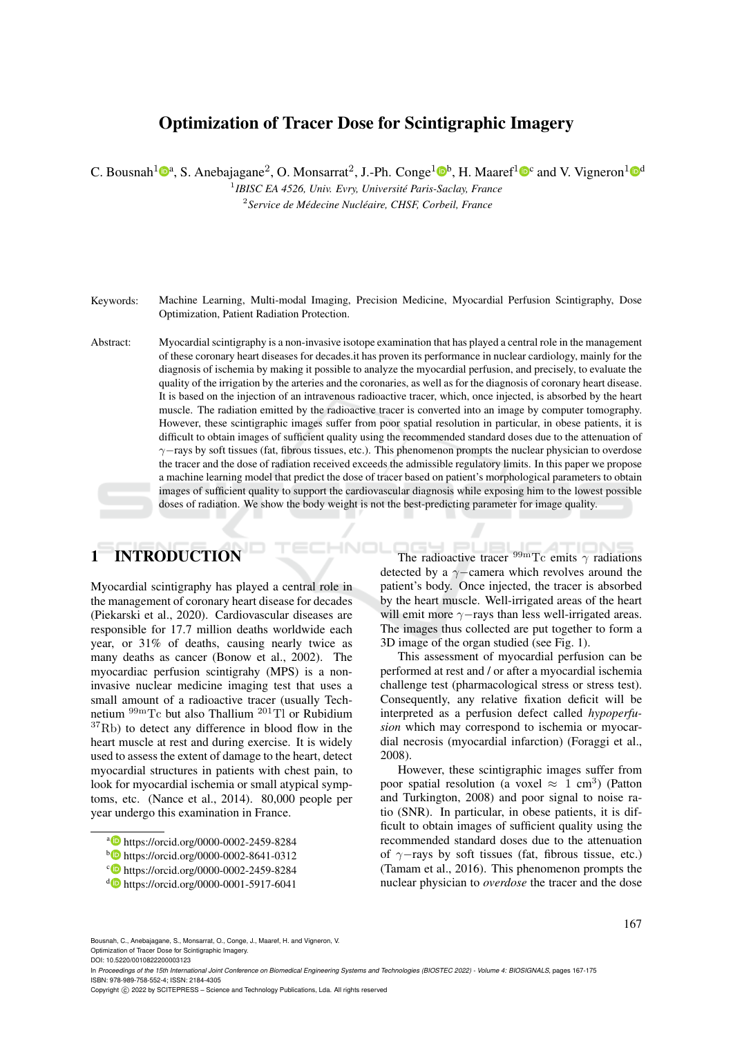# Optimization of Tracer Dose for Scintigraphic Imagery

C. Bousnah<sup>1</sup> $\mathbb{D}^a$ , S. Anebajagane<sup>2</sup>, O. Monsarrat<sup>2</sup>, J.-Ph. Conge<sup>1</sup> $\mathbb{D}^b$ , H. Maaref<sup>1</sup> $\mathbb{D}^c$  and V. Vigneron<sup>1</sup> $\mathbb{D}^d$ 

1 *IBISC EA 4526, Univ. Evry, Université Paris-Saclay, France* 2 *Service de Médecine Nucléaire, CHSF, Corbeil, France*

Keywords: Machine Learning, Multi-modal Imaging, Precision Medicine, Myocardial Perfusion Scintigraphy, Dose Optimization, Patient Radiation Protection.

Abstract: Myocardial scintigraphy is a non-invasive isotope examination that has played a central role in the management of these coronary heart diseases for decades.it has proven its performance in nuclear cardiology, mainly for the diagnosis of ischemia by making it possible to analyze the myocardial perfusion, and precisely, to evaluate the quality of the irrigation by the arteries and the coronaries, as well as for the diagnosis of coronary heart disease. It is based on the injection of an intravenous radioactive tracer, which, once injected, is absorbed by the heart muscle. The radiation emitted by the radioactive tracer is converted into an image by computer tomography. However, these scintigraphic images suffer from poor spatial resolution in particular, in obese patients, it is difficult to obtain images of sufficient quality using the recommended standard doses due to the attenuation of γ−rays by soft tissues (fat, fibrous tissues, etc.). This phenomenon prompts the nuclear physician to overdose the tracer and the dose of radiation received exceeds the admissible regulatory limits. In this paper we propose a machine learning model that predict the dose of tracer based on patient's morphological parameters to obtain images of sufficient quality to support the cardiovascular diagnosis while exposing him to the lowest possible doses of radiation. We show the body weight is not the best-predicting parameter for image quality.

# 1 INTRODUCTION

Myocardial scintigraphy has played a central role in the management of coronary heart disease for decades (Piekarski et al., 2020). Cardiovascular diseases are responsible for 17.7 million deaths worldwide each year, or 31% of deaths, causing nearly twice as many deaths as cancer (Bonow et al., 2002). The myocardiac perfusion scintigrahy (MPS) is a noninvasive nuclear medicine imaging test that uses a small amount of a radioactive tracer (usually Technetium <sup>99m</sup>Tc but also Thallium <sup>201</sup>Tl or Rubidium  $37Rb$ ) to detect any difference in blood flow in the heart muscle at rest and during exercise. It is widely used to assess the extent of damage to the heart, detect myocardial structures in patients with chest pain, to look for myocardial ischemia or small atypical symptoms, etc. (Nance et al., 2014). 80,000 people per year undergo this examination in France.

The radioactive tracer  $^{99m}$ Tc emits  $\gamma$  radiations detected by a γ−camera which revolves around the patient's body. Once injected, the tracer is absorbed by the heart muscle. Well-irrigated areas of the heart will emit more  $\gamma$ −rays than less well-irrigated areas. The images thus collected are put together to form a 3D image of the organ studied (see Fig. 1).

This assessment of myocardial perfusion can be performed at rest and / or after a myocardial ischemia challenge test (pharmacological stress or stress test). Consequently, any relative fixation deficit will be interpreted as a perfusion defect called *hypoperfusion* which may correspond to ischemia or myocardial necrosis (myocardial infarction) (Foraggi et al., 2008).

However, these scintigraphic images suffer from poor spatial resolution (a voxel  $\approx$  1 cm<sup>3</sup>) (Patton and Turkington, 2008) and poor signal to noise ratio (SNR). In particular, in obese patients, it is difficult to obtain images of sufficient quality using the recommended standard doses due to the attenuation of  $\gamma$ −rays by soft tissues (fat, fibrous tissue, etc.) (Tamam et al., 2016). This phenomenon prompts the nuclear physician to *overdose* the tracer and the dose

a https://orcid.org/0000-0002-2459-8284

b https://orcid.org/0000-0002-8641-0312

c https://orcid.org/0000-0002-2459-8284

d https://orcid.org/0000-0001-5917-6041

Bousnah, C., Anebajagane, S., Monsarrat, O., Conge, J., Maaref, H. and Vigneron, V. Optimization of Tracer Dose for Scintigraphic Imagery. DOI: 10.5220/0010822200003123

In *Proceedings of the 15th International Joint Conference on Biomedical Engineering Systems and Technologies (BIOSTEC 2022) - Volume 4: BIOSIGNALS*, pages 167-175 ISBN: 978-989-758-552-4; ISSN: 2184-4305

Copyright (C) 2022 by SCITEPRESS - Science and Technology Publications, Lda. All rights reserved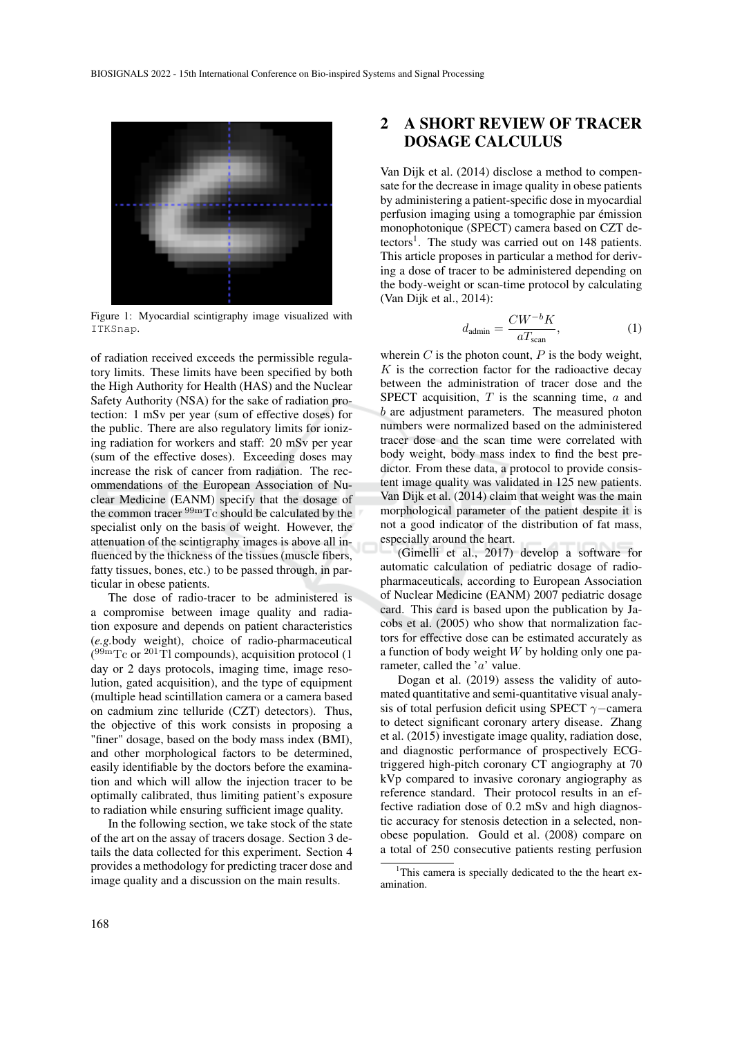

Figure 1: Myocardial scintigraphy image visualized with ITKSnap.

of radiation received exceeds the permissible regulatory limits. These limits have been specified by both the High Authority for Health (HAS) and the Nuclear Safety Authority (NSA) for the sake of radiation protection: 1 mSv per year (sum of effective doses) for the public. There are also regulatory limits for ionizing radiation for workers and staff: 20 mSv per year (sum of the effective doses). Exceeding doses may increase the risk of cancer from radiation. The recommendations of the European Association of Nuclear Medicine (EANM) specify that the dosage of the common tracer  $\rm^{99m}Tc$  should be calculated by the specialist only on the basis of weight. However, the attenuation of the scintigraphy images is above all influenced by the thickness of the tissues (muscle fibers, fatty tissues, bones, etc.) to be passed through, in particular in obese patients.

The dose of radio-tracer to be administered is a compromise between image quality and radiation exposure and depends on patient characteristics (*e.g.*body weight), choice of radio-pharmaceutical  $(^{99m}$ Tc or  $^{201}$ Tl compounds), acquisition protocol (1 day or 2 days protocols, imaging time, image resolution, gated acquisition), and the type of equipment (multiple head scintillation camera or a camera based on cadmium zinc telluride (CZT) detectors). Thus, the objective of this work consists in proposing a "finer" dosage, based on the body mass index (BMI), and other morphological factors to be determined, easily identifiable by the doctors before the examination and which will allow the injection tracer to be optimally calibrated, thus limiting patient's exposure to radiation while ensuring sufficient image quality.

In the following section, we take stock of the state of the art on the assay of tracers dosage. Section 3 details the data collected for this experiment. Section 4 provides a methodology for predicting tracer dose and image quality and a discussion on the main results.

## 2 A SHORT REVIEW OF TRACER DOSAGE CALCULUS

Van Dijk et al. (2014) disclose a method to compensate for the decrease in image quality in obese patients by administering a patient-specific dose in myocardial perfusion imaging using a tomographie par émission monophotonique (SPECT) camera based on CZT detectors<sup>1</sup>. The study was carried out on 148 patients. This article proposes in particular a method for deriving a dose of tracer to be administered depending on the body-weight or scan-time protocol by calculating (Van Dijk et al., 2014):

$$
d_{\text{admin}} = \frac{CW^{-b}K}{aT_{\text{scan}}},\tag{1}
$$

wherein  $C$  is the photon count,  $P$  is the body weight,  $K$  is the correction factor for the radioactive decay between the administration of tracer dose and the SPECT acquisition,  $T$  is the scanning time,  $a$  and b are adjustment parameters. The measured photon numbers were normalized based on the administered tracer dose and the scan time were correlated with body weight, body mass index to find the best predictor. From these data, a protocol to provide consistent image quality was validated in 125 new patients. Van Dijk et al. (2014) claim that weight was the main morphological parameter of the patient despite it is not a good indicator of the distribution of fat mass, especially around the heart.

(Gimelli et al., 2017) develop a software for automatic calculation of pediatric dosage of radiopharmaceuticals, according to European Association of Nuclear Medicine (EANM) 2007 pediatric dosage card. This card is based upon the publication by Jacobs et al. (2005) who show that normalization factors for effective dose can be estimated accurately as a function of body weight  $W$  by holding only one parameter, called the 'a' value.

Dogan et al. (2019) assess the validity of automated quantitative and semi-quantitative visual analysis of total perfusion deficit using SPECT  $\gamma$ −camera to detect significant coronary artery disease. Zhang et al. (2015) investigate image quality, radiation dose, and diagnostic performance of prospectively ECGtriggered high-pitch coronary CT angiography at 70 kVp compared to invasive coronary angiography as reference standard. Their protocol results in an effective radiation dose of 0.2 mSv and high diagnostic accuracy for stenosis detection in a selected, nonobese population. Gould et al. (2008) compare on a total of 250 consecutive patients resting perfusion

<sup>&</sup>lt;sup>1</sup>This camera is specially dedicated to the the heart examination.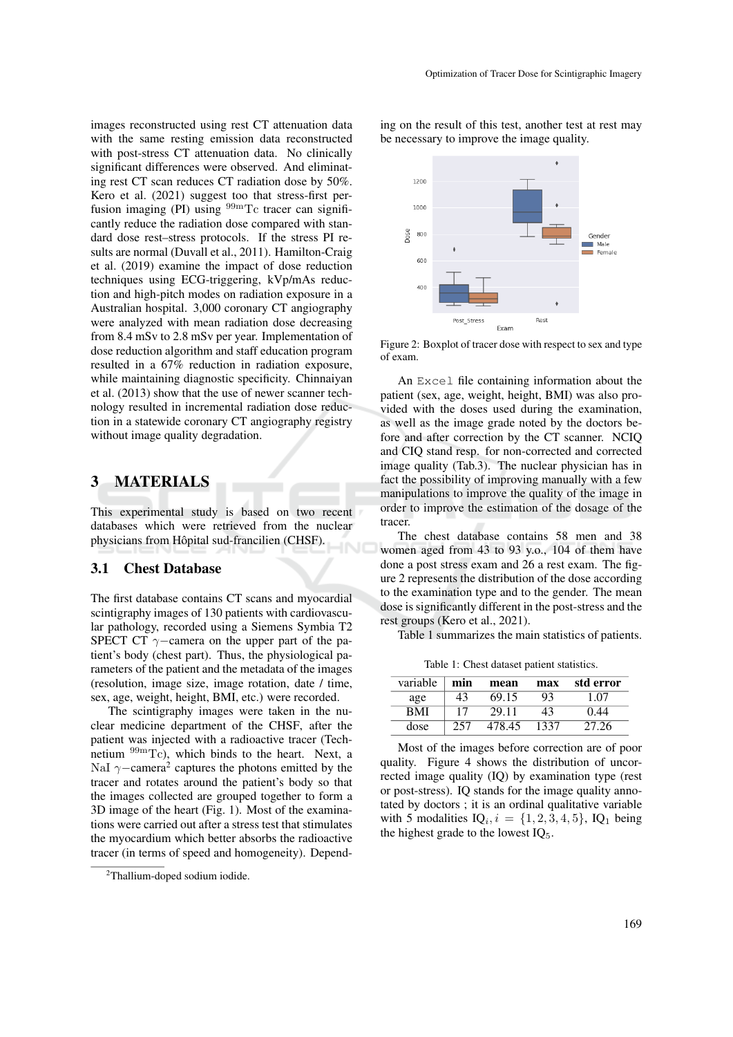images reconstructed using rest CT attenuation data with the same resting emission data reconstructed with post-stress CT attenuation data. No clinically significant differences were observed. And eliminating rest CT scan reduces CT radiation dose by 50%. Kero et al. (2021) suggest too that stress-first perfusion imaging (PI) using <sup>99m</sup>Tc tracer can significantly reduce the radiation dose compared with standard dose rest–stress protocols. If the stress PI results are normal (Duvall et al., 2011). Hamilton-Craig et al. (2019) examine the impact of dose reduction techniques using ECG-triggering, kVp/mAs reduction and high-pitch modes on radiation exposure in a Australian hospital. 3,000 coronary CT angiography were analyzed with mean radiation dose decreasing from 8.4 mSv to 2.8 mSv per year. Implementation of dose reduction algorithm and staff education program resulted in a 67% reduction in radiation exposure, while maintaining diagnostic specificity. Chinnaiyan et al. (2013) show that the use of newer scanner technology resulted in incremental radiation dose reduction in a statewide coronary CT angiography registry without image quality degradation.

#### 3 MATERIALS

This experimental study is based on two recent databases which were retrieved from the nuclear physicians from Hôpital sud-francilien (CHSF).

#### 3.1 Chest Database

The first database contains CT scans and myocardial scintigraphy images of 130 patients with cardiovascular pathology, recorded using a Siemens Symbia T2 SPECT CT  $\gamma$ -camera on the upper part of the patient's body (chest part). Thus, the physiological parameters of the patient and the metadata of the images (resolution, image size, image rotation, date / time, sex, age, weight, height, BMI, etc.) were recorded.

The scintigraphy images were taken in the nuclear medicine department of the CHSF, after the patient was injected with a radioactive tracer (Technetium 99mTc), which binds to the heart. Next, a NaI  $\gamma$ –camera<sup>2</sup> captures the photons emitted by the tracer and rotates around the patient's body so that the images collected are grouped together to form a 3D image of the heart (Fig. 1). Most of the examinations were carried out after a stress test that stimulates the myocardium which better absorbs the radioactive tracer (in terms of speed and homogeneity). Depending on the result of this test, another test at rest may be necessary to improve the image quality.



Figure 2: Boxplot of tracer dose with respect to sex and type of exam.

An Excel file containing information about the patient (sex, age, weight, height, BMI) was also provided with the doses used during the examination, as well as the image grade noted by the doctors before and after correction by the CT scanner. NCIQ and CIQ stand resp. for non-corrected and corrected image quality (Tab.3). The nuclear physician has in fact the possibility of improving manually with a few manipulations to improve the quality of the image in order to improve the estimation of the dosage of the tracer.

The chest database contains 58 men and 38 women aged from 43 to 93 y.o., 104 of them have done a post stress exam and 26 a rest exam. The figure 2 represents the distribution of the dose according to the examination type and to the gender. The mean dose is significantly different in the post-stress and the rest groups (Kero et al., 2021).

Table 1 summarizes the main statistics of patients.

Table 1: Chest dataset patient statistics.

| variable   | min | mean   | max  | std error |
|------------|-----|--------|------|-----------|
| age        | 43  | 69.15  | 93   | 1 07      |
| <b>BMI</b> | 17  | 29.11  | 43   | 0.44      |
| dose       |     | 478 45 | 1337 | 27.26     |

Most of the images before correction are of poor quality. Figure 4 shows the distribution of uncorrected image quality (IQ) by examination type (rest or post-stress). IQ stands for the image quality annotated by doctors ; it is an ordinal qualitative variable with 5 modalities  $IQ_i, i = \{1, 2, 3, 4, 5\}$ ,  $IQ_1$  being the highest grade to the lowest  $IQ_5$ .

<sup>2</sup>Thallium-doped sodium iodide.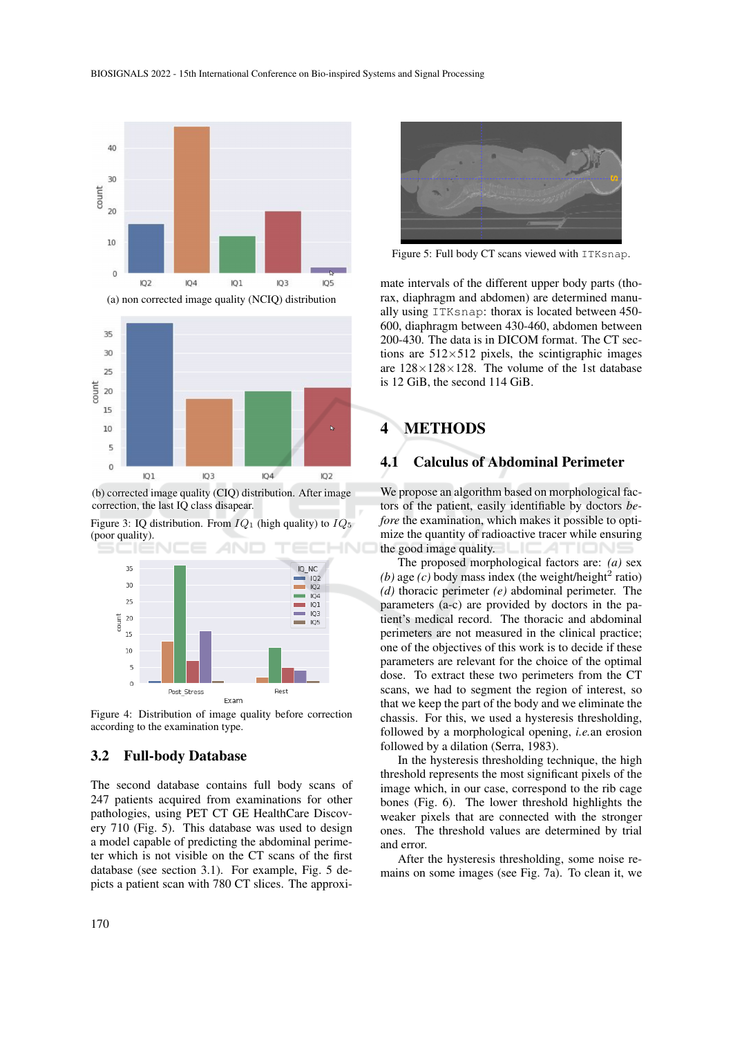

 $\overline{0}$  $IO$  $IO3$  $\overline{IA}$  $IO2$ (b) corrected image quality (CIQ) distribution. After image

correction, the last IQ class disapear.

Figure 3: IQ distribution. From  $IQ_1$  (high quality) to  $IQ_5$ (poor quality).



Figure 4: Distribution of image quality before correction according to the examination type.

#### 3.2 Full-body Database

The second database contains full body scans of 247 patients acquired from examinations for other pathologies, using PET CT GE HealthCare Discovery 710 (Fig. 5). This database was used to design a model capable of predicting the abdominal perimeter which is not visible on the CT scans of the first database (see section 3.1). For example, Fig. 5 depicts a patient scan with 780 CT slices. The approxi-



Figure 5: Full body CT scans viewed with ITKsnap.

mate intervals of the different upper body parts (thorax, diaphragm and abdomen) are determined manually using ITKsnap: thorax is located between 450- 600, diaphragm between 430-460, abdomen between 200-430. The data is in DICOM format. The CT sections are  $512\times512$  pixels, the scintigraphic images are  $128 \times 128 \times 128$ . The volume of the 1st database is 12 GiB, the second 114 GiB.

# 4 METHODS

#### 4.1 Calculus of Abdominal Perimeter

We propose an algorithm based on morphological factors of the patient, easily identifiable by doctors *before* the examination, which makes it possible to optimize the quantity of radioactive tracer while ensuring the good image quality.

The proposed morphological factors are: *(a)* sex  $(b)$  age  $(c)$  body mass index (the weight/height<sup>2</sup> ratio) *(d)* thoracic perimeter *(e)* abdominal perimeter. The parameters (a-c) are provided by doctors in the patient's medical record. The thoracic and abdominal perimeters are not measured in the clinical practice; one of the objectives of this work is to decide if these parameters are relevant for the choice of the optimal dose. To extract these two perimeters from the CT scans, we had to segment the region of interest, so that we keep the part of the body and we eliminate the chassis. For this, we used a hysteresis thresholding, followed by a morphological opening, *i.e.*an erosion followed by a dilation (Serra, 1983).

In the hysteresis thresholding technique, the high threshold represents the most significant pixels of the image which, in our case, correspond to the rib cage bones (Fig. 6). The lower threshold highlights the weaker pixels that are connected with the stronger ones. The threshold values are determined by trial and error.

After the hysteresis thresholding, some noise remains on some images (see Fig. 7a). To clean it, we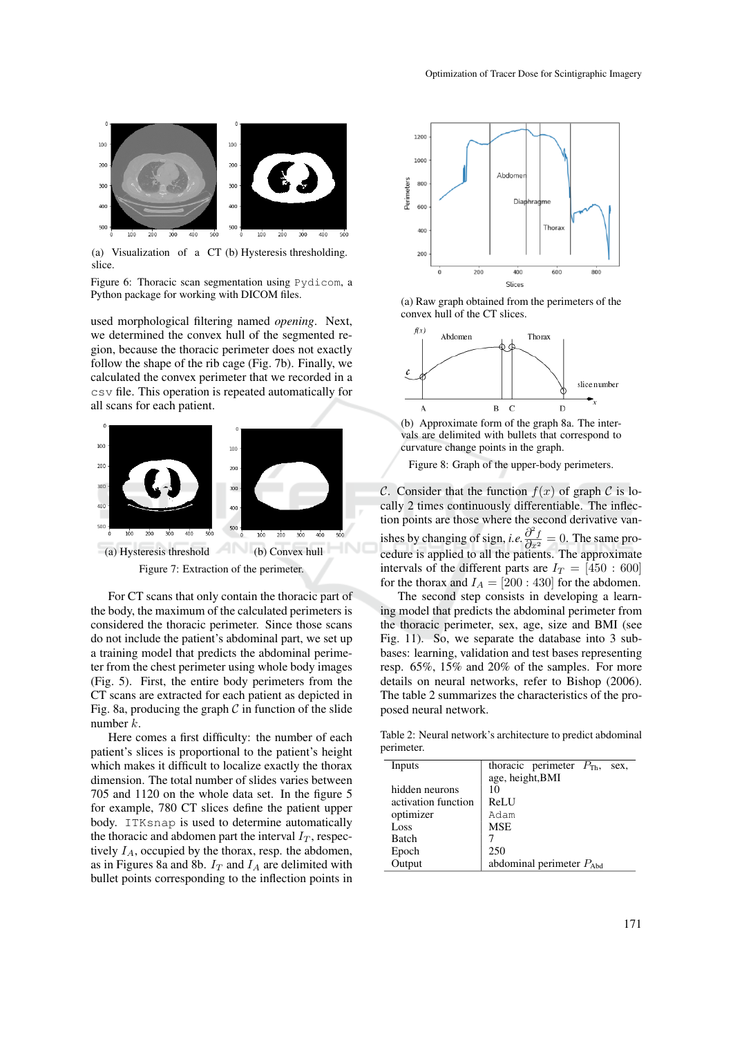

(a) Visualization of a CT (b) Hysteresis thresholding. slice.

Figure 6: Thoracic scan segmentation using Pydicom, a Python package for working with DICOM files.

used morphological filtering named *opening*. Next, we determined the convex hull of the segmented region, because the thoracic perimeter does not exactly follow the shape of the rib cage (Fig. 7b). Finally, we calculated the convex perimeter that we recorded in a csv file. This operation is repeated automatically for all scans for each patient.



Figure 7: Extraction of the perimeter.

For CT scans that only contain the thoracic part of the body, the maximum of the calculated perimeters is considered the thoracic perimeter. Since those scans do not include the patient's abdominal part, we set up a training model that predicts the abdominal perimeter from the chest perimeter using whole body images (Fig. 5). First, the entire body perimeters from the CT scans are extracted for each patient as depicted in Fig. 8a, producing the graph  $C$  in function of the slide number k.

Here comes a first difficulty: the number of each patient's slices is proportional to the patient's height which makes it difficult to localize exactly the thorax dimension. The total number of slides varies between 705 and 1120 on the whole data set. In the figure 5 for example, 780 CT slices define the patient upper body. ITKsnap is used to determine automatically the thoracic and abdomen part the interval  $I_T$ , respectively  $I_A$ , occupied by the thorax, resp. the abdomen, as in Figures 8a and 8b.  $I_T$  and  $I_A$  are delimited with bullet points corresponding to the inflection points in



(a) Raw graph obtained from the perimeters of the convex hull of the CT slices.



(b) Approximate form of the graph 8a. The intervals are delimited with bullets that correspond to curvature change points in the graph.

Figure 8: Graph of the upper-body perimeters.

C. Consider that the function  $f(x)$  of graph C is locally 2 times continuously differentiable. The inflection points are those where the second derivative vanishes by changing of sign, *i.e.*  $\frac{\partial^2 f}{\partial x^2} = 0$ . The same procedure is applied to all the patients. The approximate intervals of the different parts are  $I_T = [450 : 600]$ for the thorax and  $I_A = [200 : 430]$  for the abdomen.

The second step consists in developing a learning model that predicts the abdominal perimeter from the thoracic perimeter, sex, age, size and BMI (see Fig. 11). So, we separate the database into 3 subbases: learning, validation and test bases representing resp. 65%, 15% and 20% of the samples. For more details on neural networks, refer to Bishop (2006). The table 2 summarizes the characteristics of the proposed neural network.

Table 2: Neural network's architecture to predict abdominal perimeter.

| Inputs              | thoracic perimeter $P_{\text{Th}}$ ,<br>sex. |  |  |  |
|---------------------|----------------------------------------------|--|--|--|
|                     | age, height, BMI                             |  |  |  |
| hidden neurons      | 10                                           |  |  |  |
| activation function | ReLU                                         |  |  |  |
| optimizer           | Adam                                         |  |  |  |
| Loss                | <b>MSE</b>                                   |  |  |  |
| Batch               |                                              |  |  |  |
| Epoch               | 250                                          |  |  |  |
| Output              | abdominal perimeter $P_{\text{Abd}}$         |  |  |  |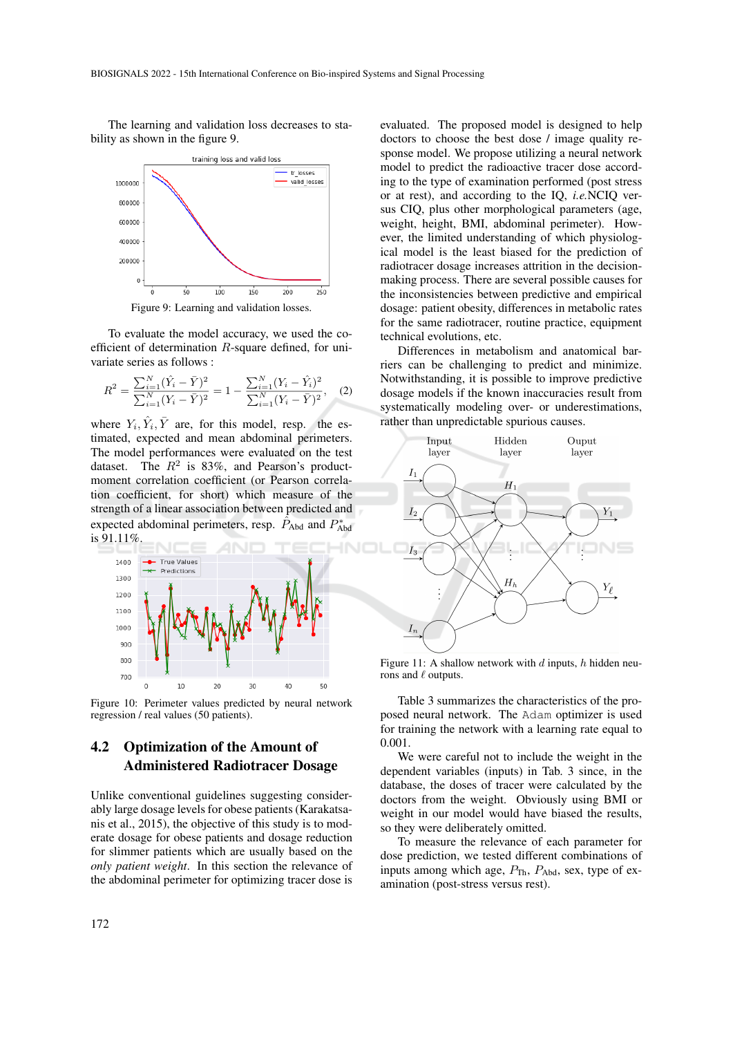The learning and validation loss decreases to stability as shown in the figure 9.



Figure 9: Learning and validation losses.

To evaluate the model accuracy, we used the coefficient of determination  $R$ -square defined, for univariate series as follows :

$$
R^{2} = \frac{\sum_{i=1}^{N} (\hat{Y}_{i} - \bar{Y})^{2}}{\sum_{i=1}^{N} (Y_{i} - \bar{Y})^{2}} = 1 - \frac{\sum_{i=1}^{N} (Y_{i} - \hat{Y}_{i})^{2}}{\sum_{i=1}^{N} (Y_{i} - \bar{Y})^{2}},
$$
 (2)

where  $Y_i$ ,  $\hat{Y}_i$ ,  $\bar{Y}$  are, for this model, resp. the estimated, expected and mean abdominal perimeters. The model performances were evaluated on the test dataset. The  $R^2$  is 83%, and Pearson's productmoment correlation coefficient (or Pearson correlation coefficient, for short) which measure of the strength of a linear association between predicted and expected abdominal perimeters, resp.  $\tilde{P}_{\text{Abd}}$  and  $P_{\text{Abd}}^*$ is 91.11%.



Figure 10: Perimeter values predicted by neural network regression / real values (50 patients).

### 4.2 Optimization of the Amount of Administered Radiotracer Dosage

Unlike conventional guidelines suggesting considerably large dosage levels for obese patients (Karakatsanis et al., 2015), the objective of this study is to moderate dosage for obese patients and dosage reduction for slimmer patients which are usually based on the *only patient weight*. In this section the relevance of the abdominal perimeter for optimizing tracer dose is

evaluated. The proposed model is designed to help doctors to choose the best dose / image quality response model. We propose utilizing a neural network model to predict the radioactive tracer dose according to the type of examination performed (post stress or at rest), and according to the IQ, *i.e.*NCIQ versus CIQ, plus other morphological parameters (age, weight, height, BMI, abdominal perimeter). However, the limited understanding of which physiological model is the least biased for the prediction of radiotracer dosage increases attrition in the decisionmaking process. There are several possible causes for the inconsistencies between predictive and empirical dosage: patient obesity, differences in metabolic rates for the same radiotracer, routine practice, equipment technical evolutions, etc.

Differences in metabolism and anatomical barriers can be challenging to predict and minimize. Notwithstanding, it is possible to improve predictive dosage models if the known inaccuracies result from systematically modeling over- or underestimations, rather than unpredictable spurious causes.



Figure 11: A shallow network with  $d$  inputs,  $h$  hidden neurons and  $\ell$  outputs.

Table 3 summarizes the characteristics of the proposed neural network. The Adam optimizer is used for training the network with a learning rate equal to 0.001.

We were careful not to include the weight in the dependent variables (inputs) in Tab. 3 since, in the database, the doses of tracer were calculated by the doctors from the weight. Obviously using BMI or weight in our model would have biased the results, so they were deliberately omitted.

To measure the relevance of each parameter for dose prediction, we tested different combinations of inputs among which age,  $P_{\text{Th}}$ ,  $P_{\text{Abd}}$ , sex, type of examination (post-stress versus rest).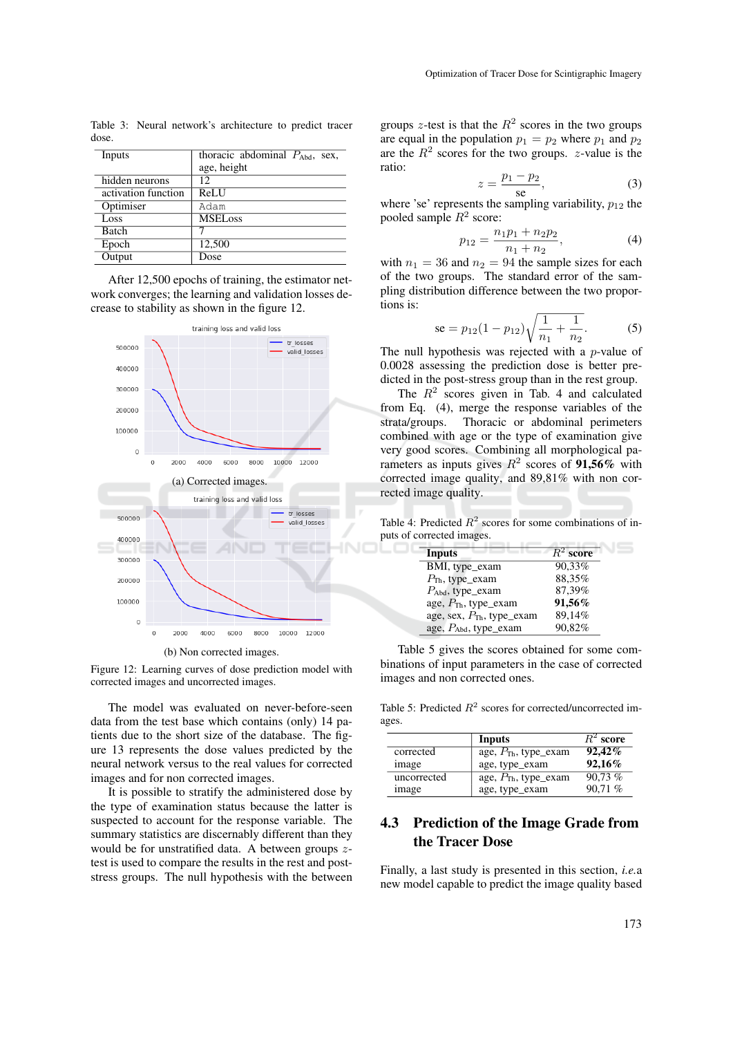Table 3: Neural network's architecture to predict tracer dose.

| Inputs              | thoracic abdominal $P_{\text{Abd}}$ , sex, |  |  |
|---------------------|--------------------------------------------|--|--|
|                     | age, height                                |  |  |
| hidden neurons      | 12                                         |  |  |
| activation function | ReLU                                       |  |  |
| Optimiser           | Adam                                       |  |  |
| Loss                | <b>MSELoss</b>                             |  |  |
| <b>Batch</b>        |                                            |  |  |
| Epoch               | 12.500                                     |  |  |
| Output              | Dose                                       |  |  |

After 12,500 epochs of training, the estimator network converges; the learning and validation losses decrease to stability as shown in the figure 12.



(b) Non corrected images.

Figure 12: Learning curves of dose prediction model with corrected images and uncorrected images.

The model was evaluated on never-before-seen data from the test base which contains (only) 14 patients due to the short size of the database. The figure 13 represents the dose values predicted by the neural network versus to the real values for corrected images and for non corrected images.

It is possible to stratify the administered dose by the type of examination status because the latter is suspected to account for the response variable. The summary statistics are discernably different than they would be for unstratified data. A between groups  $z$ test is used to compare the results in the rest and poststress groups. The null hypothesis with the between

groups z-test is that the  $R^2$  scores in the two groups are equal in the population  $p_1 = p_2$  where  $p_1$  and  $p_2$ are the  $R<sup>2</sup>$  scores for the two groups. *z*-value is the ratio:

$$
z = \frac{p_1 - p_2}{\text{se}},\tag{3}
$$

where 'se' represents the sampling variability,  $p_{12}$  the pooled sample  $R^2$  score:

$$
p_{12} = \frac{n_1 p_1 + n_2 p_2}{n_1 + n_2},\tag{4}
$$

with  $n_1 = 36$  and  $n_2 = 94$  the sample sizes for each of the two groups. The standard error of the sampling distribution difference between the two proportions is:

$$
\text{se} = p_{12}(1 - p_{12})\sqrt{\frac{1}{n_1} + \frac{1}{n_2}}.\tag{5}
$$

The null hypothesis was rejected with a  $p$ -value of 0.0028 assessing the prediction dose is better predicted in the post-stress group than in the rest group.

The  $R<sup>2</sup>$  scores given in Tab. 4 and calculated from Eq. (4), merge the response variables of the strata/groups. Thoracic or abdominal perimeters combined with age or the type of examination give very good scores. Combining all morphological parameters as inputs gives  $R^2$  scores of 91,56% with corrected image quality, and 89,81% with non corrected image quality.

Table 4: Predicted  $R^2$  scores for some combinations of inputs of corrected images.

o

| Inputs                                | $R^2$ score |
|---------------------------------------|-------------|
| BMI, type_exam                        | 90,33%      |
| $P_{\text{Th}}$ , type_exam           | 88,35%      |
| $P_{\text{Abd}}$ , type_exam          | 87,39%      |
| age, P <sub>Th</sub> , type_exam      | 91,56%      |
| age, sex, $P_{\text{Th}}$ , type_exam | 89,14%      |
| age, $P_{\text{Abd}}$ , type_exam     | 90,82%      |

Table 5 gives the scores obtained for some combinations of input parameters in the case of corrected images and non corrected ones.

Table 5: Predicted  $R^2$  scores for corrected/uncorrected images.

|             | Inputs                           | $R^2$ score |
|-------------|----------------------------------|-------------|
| corrected   | age, $P_{\text{Th}}$ , type_exam | 92,42%      |
| image       | age, type_exam                   | 92,16%      |
| uncorrected | age, $P_{\text{Th}}$ , type_exam | 90,73%      |
| image       | age, type_exam                   | 90.71%      |

## 4.3 Prediction of the Image Grade from the Tracer Dose

Finally, a last study is presented in this section, *i.e.*a new model capable to predict the image quality based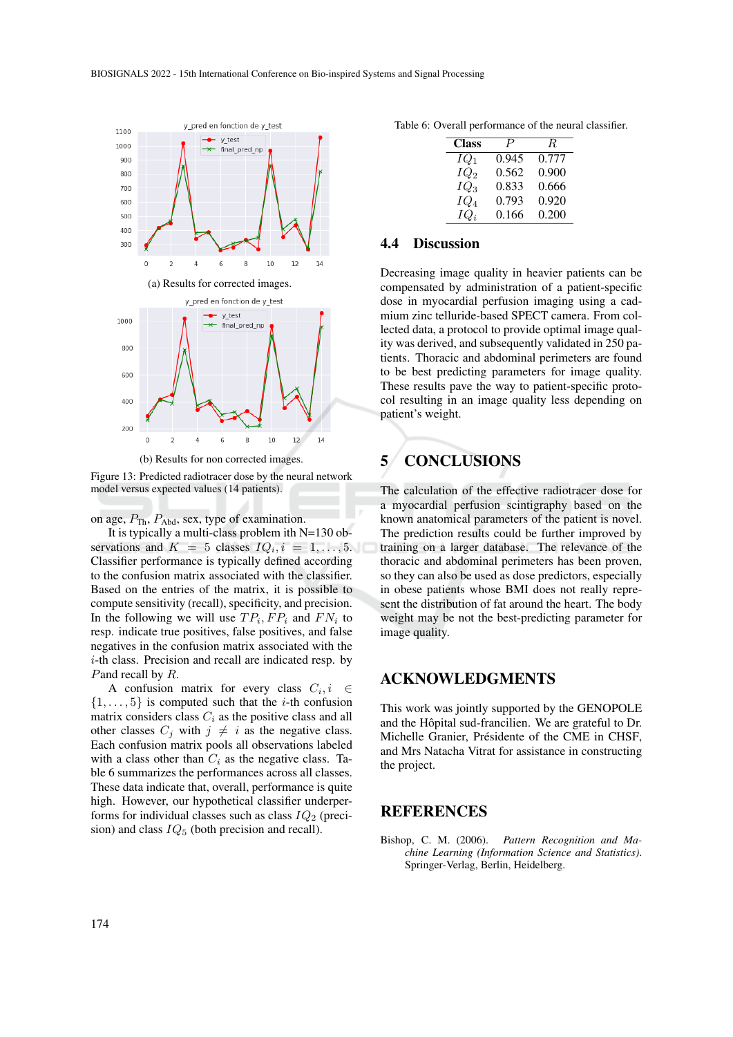

(b) Results for non corrected images.

Figure 13: Predicted radiotracer dose by the neural network model versus expected values (14 patients).

on age,  $P_{\text{Th}}$ ,  $P_{\text{Abd}}$ , sex, type of examination.

It is typically a multi-class problem ith N=130 observations and  $K = 5$  classes  $IQ_i, i = 1, \ldots, 5$ . Classifier performance is typically defined according to the confusion matrix associated with the classifier. Based on the entries of the matrix, it is possible to compute sensitivity (recall), specificity, and precision. In the following we will use  $TP_i, FP_i$  and  $FN_i$  to resp. indicate true positives, false positives, and false negatives in the confusion matrix associated with the i-th class. Precision and recall are indicated resp. by Pand recall by R.

A confusion matrix for every class  $C_i, i \in$  $\{1, \ldots, 5\}$  is computed such that the *i*-th confusion matrix considers class  $C_i$  as the positive class and all other classes  $C_j$  with  $j \neq i$  as the negative class. Each confusion matrix pools all observations labeled with a class other than  $C_i$  as the negative class. Table 6 summarizes the performances across all classes. These data indicate that, overall, performance is quite high. However, our hypothetical classifier underperforms for individual classes such as class  $IQ_2$  (precision) and class  $IQ_5$  (both precision and recall).

Table 6: Overall performance of the neural classifier.

| <b>Class</b> | P     | R.    |
|--------------|-------|-------|
| $IQ_1$       | 0.945 | 0.777 |
| $IQ_2$       | 0.562 | 0.900 |
| $IQ_3$       | 0.833 | 0.666 |
| $IQ_4$       | 0.793 | 0.920 |
| $IQ_i$       | 0.166 | 0.200 |

#### 4.4 Discussion

Decreasing image quality in heavier patients can be compensated by administration of a patient-specific dose in myocardial perfusion imaging using a cadmium zinc telluride-based SPECT camera. From collected data, a protocol to provide optimal image quality was derived, and subsequently validated in 250 patients. Thoracic and abdominal perimeters are found to be best predicting parameters for image quality. These results pave the way to patient-specific protocol resulting in an image quality less depending on patient's weight.

# 5 CONCLUSIONS

The calculation of the effective radiotracer dose for a myocardial perfusion scintigraphy based on the known anatomical parameters of the patient is novel. The prediction results could be further improved by training on a larger database. The relevance of the thoracic and abdominal perimeters has been proven, so they can also be used as dose predictors, especially in obese patients whose BMI does not really represent the distribution of fat around the heart. The body weight may be not the best-predicting parameter for image quality.

#### ACKNOWLEDGMENTS

This work was jointly supported by the GENOPOLE and the Hôpital sud-francilien. We are grateful to Dr. Michelle Granier, Présidente of the CME in CHSF, and Mrs Natacha Vitrat for assistance in constructing the project.

### **REFERENCES**

Bishop, C. M. (2006). *Pattern Recognition and Machine Learning (Information Science and Statistics)*. Springer-Verlag, Berlin, Heidelberg.